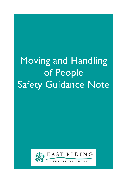# Moving and Handling of People Safety Guidance Note



Ξ

EAST RIDING

**YORKSHIRE** COUNCIL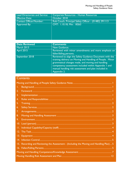| Lead Directorate and Service:  | Corporate Resources - Human Resources                |
|--------------------------------|------------------------------------------------------|
| <b>Effective Date:</b>         | October 2018                                         |
| <b>Contact Officer/Number:</b> | Rob Couch, Principal Safety Officer - (01482) 391113 |
| Approved By:                   | CMT: 1.10.18, Min: 18263                             |
|                                |                                                      |
|                                |                                                      |
|                                |                                                      |
|                                |                                                      |

| <b>Date Reviewed</b> | <b>Comments</b>                                                                                                                                                                                                                                                                                          |
|----------------------|----------------------------------------------------------------------------------------------------------------------------------------------------------------------------------------------------------------------------------------------------------------------------------------------------------|
| <b>March 2013</b>    | New Guidance.                                                                                                                                                                                                                                                                                            |
| <b>April 2015</b>    | Reviewed with minor amendments and more emphasis on                                                                                                                                                                                                                                                      |
|                      | fallen/falling persons.                                                                                                                                                                                                                                                                                  |
| September 2018       | Reviewed to align the Safety Guidance Document with the<br>training delivery on Moving and Handling of People. Minor<br>grammatical changes made, and moving and handling<br>competency assessment included within Appendix 1 and<br>manual handling risk assessment and plan included in<br>Appendix 2. |

# **Contents**

| Τ. |                                                                                          |
|----|------------------------------------------------------------------------------------------|
| 2. |                                                                                          |
| 3. |                                                                                          |
| 4. |                                                                                          |
| 5. |                                                                                          |
| 6. |                                                                                          |
| 7. |                                                                                          |
| 8. |                                                                                          |
| 9. |                                                                                          |
|    |                                                                                          |
|    |                                                                                          |
|    |                                                                                          |
|    |                                                                                          |
|    |                                                                                          |
|    | 15. Recording and Reviewing the Assessment - (Including the Moving and Handling Plan)  5 |
|    |                                                                                          |
|    |                                                                                          |
|    |                                                                                          |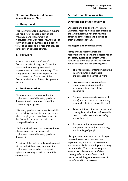#### Moving and Handling of People Safety Guidance Note

#### 1. Background

This safety guidance document on moving and handling of people is part of the Prevention and Management of Musculoskeletal Disorders (MSDs) pack of safety guidance documents and is specific to assisting persons in order that they can participate in services offered.

#### 2. Foreword

In accordance with the Council's Corporate Safety Policy, the Council is committed to pursuing continual improvements in health and safety. This safety guidance document supports this commitment and forms part of the Council's Health and Safety Management System.

#### 3. Implementation

Directorates are responsible for the implementation of this safety guidance document, and communication of its content as appropriate.

This safety guidance document is available on the Safety Services intranet page and, where employees do not have access to the Council's intranet, via their Line Manager/Headteacher.

The Council relies on the co-operation of all employees, for the successful implementation of this safety guidance document.

A review of this safety guidance document will be undertaken two years after its implementation, or where changes in legislation/working practices deem this appropriate.

## 4. Roles and Responsibilities

#### Directors and Heads of Service

Directors and Heads of Services are ultimately responsible and accountable to the Chief Executive for ensuring this safety guidance document is issued to their management team.

#### Managers and Headteachers

Managers and Headteachers are responsible for achieving the objectives of this safety guidance document where relevant to their area of service delivery and are responsible for ensuring that:

- The information contained within this safety guidance document is implemented and complied with;
- Risk assessments are completed taking into consideration the arrangements section of this document;
- Control measures (safe systems of work) are introduced to reduce any potential risks to a reasonable level;
- Relevant information, instruction and training is provided to staff to enable them to undertake their job safely and without risk;
- Provision and maintenance of equipment required for the moving and handling of people.

Managers must ensure that the changes required from any assessment are implemented, and that the assessments are made available to employees carrying out the tasks. They are also required to ensure that adequate and sufficient training, safe systems of work, and resources will be given to employees in the safe handling of persons.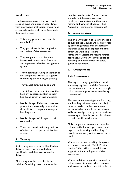# Employees

Employees must ensure they carry out assigned tasks and duties in accordance with information, instruction, training and agreed safe systems of work. Specifically they must ensure:

- This safety guidance document is complied with;
- They participate in the completion and review of risk assessments;
- They cooperate to enable their Manager/Headteacher to formulate and implement effective management systems;
- They undertake training in techniques and equipment available to support the moving and handling of people;
- They report defective equipment;
- They inform management where they have any concerns relating to their health and safety or that of others;
- Notify Manager if they feel there are gaps in their knowledge which affect their ability to complete moving and handling tasks;
- Notify Manager of changes to their own health;
- Their own health and safety and that of others are not put at risk by their actions.

# 5. Training

Staff training needs must be identified and delivered in accordance with their job specification and their area of service delivery.

All training must be recorded in the individual's training record and refreshed on a two yearly basis. Annual checks should also take place to assess employee's competency in the area of moving and handling of people. (See Appendix 1 competency assessment.)

#### 6. Safety Services

The primary function of Safety Services is to support the Council and its employees by providing professional, authoritative, impartial advice on all aspects of health, safety and wellbeing. Where Managers/Headteachers require further assistance, Safety Services will advise on achieving compliance with this safety guidance document.

#### 7. Arrangements

#### Risk Assessments

The key to complying with both health and safety legislation and the Care Act is the requirement to carry out a thorough risk assessment, prior to services being commenced.

This assessment (see Appendix 2 moving and handling risk assessment and plan) must be carried out by a competent individual who should have the relevant, skills, knowledge, training, and experience in moving and handling of people relevant to their specific service area.

Only competent persons who have the relevant skills, knowledge, training, and experience in moving and handling of people should carry out an assessment of need.

Where moving and handling champions are in place, such as in "Adult Provider Services" they will provide additional support on the development of risk assessments.

Where additional support is required on risk assessments and/or where persons with complex needs are identified, then a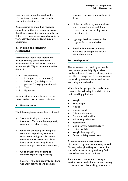referral must be put forward to the Occupational Therapy Team or other relevant professionals.

Risk assessments should be reviewed annually, or if there is reason to suspect that the assessment is no longer valid, or if there has been a significant change in the work activity, including techniques or equipment.

#### 8. Moving and Handling **Assessment**

Assessments should incorporate the manual handling core elements of environment, load, individual, task and equipment (ELITE) as recommended by the HSE:

- E Environment
- L Load (person to be moved)
- I Individual (capability of the
- person(s) carrying out the task) • T - Task
- E Equipment

Set out below is an explanation of the factors to be covered in each element.

#### 9. Environment

The following factors must be considered:

- Space availability too much furniture? Can some be temporarily relocated to other rooms;
- Good housekeeping ensuring that routes are kept clear, free from obstruction and generally safe for workers and service users. Poor levels of cleanliness may have a negative impact on infection control;
- Good quality level flooring to minimise slip and trip hazards;
- Heating very cold draughty buildings will affect activity as will premises

which are too warm and without air flow;

- Noise to effectively communicate with the service users minimise distraction such as turning down televisions, etc;
- Lighting levels may need to be brighter for some activities;
- Pets/family members who may intimidate or antagonise carer's medical conditions.

#### 10. Load (person)

The movement and handling of people may present potentially higher risks to handlers than static loads, as it may not be possible to change the circumstances and the working environment as well as the load being unpredictable.

When handling people, the handler must consider the following, in addition to the basic handling guidelines:

- Weight.
- Body Shape.
- Height.
- Cognitive ability.
- Pain and discomfort.
- Communication skills.
- Individual preferences.
- Fear/anxiety.
- Skin integrity/ medical history.
- History of falls.
- Weight bearing ability.
- Other mobility restrictions.

Some service users may become distressed or agitated when being moved. Others, although willing to assist at the start of manoeuver, may suddenly find themselves unable to continue.

A natural reaction, when assisting a service user to walk, for example, is to try to prevent them from falling, which may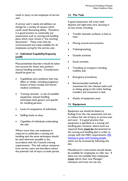result in injury to the employee of service user.

A service user's needs and abilities can change for a variety of reasons which could result fluctuating ability. Therefore it is good practice to continually any assessments such as moving and handling plans which must remain a "live working documents". These must then be communicated and made available for all employees caring for the service user.

#### 11. Individual Capability/Capacity (staff)

Musculoskeletal disorders should be taken into account for those who perform manual handling activities. Consideration should be given to:

- Capabilities and conditions that may affect or inhibit, including pregnancy, history of back trouble and known medical conditions.
- Training received in use of available equipment, manual handling techniques both generic and specific for handling persons.
- Level of competence of individuals.
- Staffing levels on duty.
- Capability of individuals undertaking the task.

Where more than one employee is required to undertake a moving and handling task the same techniques should be used wherever possible in the accordance with the Councils training requirements. This will reduce resistance from service users and therefore reduce the potential risk of injury to both parties.

#### 12. The Task

A good assessment will cover both daytime and night-time care, focusing in on key moves including:

- Transfer between surfaces, ie bed to chair.
- Moving around environments.
- Toileting/washing.
- Outside activities.
- Social activities.
- Travelling on transport including mobility aids.
- Emergency procedures.
- Recommended methods of movement for the relevant tasks such as sitting, going to the toilet, bathing, transfers and movement in bed.
- Details of equipment used.

#### 13. Equipment

Equipment use should be based on findings from the risk assessment and aim to reduce the risk of injury to service user and carer. It is good practice that equipment is specified on a moving and handling plan, however where hoist are required these must be documented on the moving and handling plan in order to comply with the HSE's requirements HSE Getting to grips with hoisting people which can be accessed by following this link.

Manufacturer's instructions should always be available for employees to refer too. If these are not available then employees must inform their Line Manager/ champion and must not use any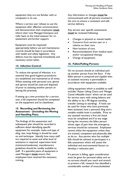equipment they are not familiar with or competent in its use.

Where a service user refuses to use the equipment after effective communication and demonstration then employees **must** inform their Line Manager/champion and refer back to the initial assessor for reassessment and further support.

Equipment must be inspected appropriately before use and maintenance records should be kept in accordance with health and safety legislation. Any defects must be reported immediately and necessary action taken.

#### 14. Infection Control

To reduce the spread of infection, it is essential that good hygiene procedures are established and maintained at all times. When assisting with personal care, gloves and aprons should be used and disposed of prior to assisting another person or leaving the premises.

If setting up a new provision for a service user a full inspection should be completed on the equipment and its cleanliness.

#### 15. Recording and Reviewing the Assessment - (Including the Moving and Handling Plan)

The findings of the assessment and subsequent plan should be recorded in sufficient detail identifying specific equipment for example, make and type of sling, size, loop fittings it should be used on and technique. Identify how many staff are required to assist and what level of assistance is required, supervision level (minimum/moderate), manufacturers guidelines should be readily available to staff. If a specialist piece of equipment is used Managers must ensure that employees have received the necessary training.

Any information or changes must be communicated with all persons involved in the care to ensure a consistent and safe service delivery.

Any service user specific assessments must be reviewed following:

- Changes in physical or mental health.
- Concerns from service user or a relative on their care.
- New location of care.
- Recommendations from medical team and/or occupational therapy.
- Change of equipment.

#### 16. Fallen/Falling Persons

On no account should an individual pick up another person from the floor. If the fallen person is uninjured and capable then an assisted recovery is permissible in accordance with equipment available.

Lifting equipment which is available to staff includes' Raizer Lifting Chairs and 'Manger Camel inflatable chairs' which can be used for service users with sitting balance and the ability to do a 90 degree standing transfer (sitting to standing). A hoist can be used for those who have previously been assessed, have a personal sling and a suitable mobile hoist is available. Prior to any assisted recovery a first aid check must be completed and if at any stage during the recovery the fallen person shows signs of pain then the emergency services should be contacted. Employees cannot utilise the equipment unless they are trained, competent and physically able to do so. Any person who has multiple falls should be advised to participate in a falls assessment which will assess the individual and environmental factors to develop a reduction plan.

If a person is falling, again consideration must be given for personal safety and on no account should you reach and stretch to prevent a fall, research has identified a considerable number of musculoskeletal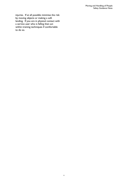injuries. If at all possible minimise the risk by moving objects or making a soft landing. If you are in physical contact with a service user who is falling then act within training techniques if comfortable to do so.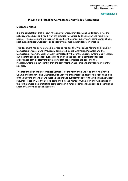#### APPENDIX 1

#### Moving and Handling Competence/Knowledge Assessment

#### Guidance Notes

It is the expectation that all staff have an awareness, knowledge and understanding of the policies, procedures and good working practice in relation to the moving and handling of people. The assessment process can be used as the annual supervisory competency check, post event (Incident/Accident) or to identify any gaps in knowledge or practice.

This document has being devised in order to replace the Workplace Moving and Handling Competency Assessment (Previously completed by the Champion/Manager) and the Competency Worksheet (Previously completed by the staff member). Champions/Managers can facilitate group or individual sessions prior to the tool been completed for less experienced staff or alternatively existing staff can complete the tool and the Manager/Champion can identify that the staff member has sufficient knowledge or identify any gaps.

The staff member should complete Section 1 of the form and hand it to their nominated Champion/Manager. The Champion/Manager will then initial the box to the right hand side of the answers once they are satisfied the answer sufficiently covers the sufficient knowledge required. Section 2 is then to be completed by the Manager/Champion and will consist of the staff member demonstrating competence in a range of different activities and techniques appropriate to their specific job role.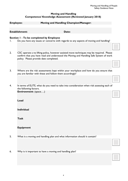#### Moving and Handling Competence/ Knowledge Assessment (Reviewed January 2018)

Employee: Moving and Handling Champion/Manager:

#### Establishment: Date:

#### Section 1 - To be completed by Employee

- 1. Do you have any issues or concerns with regards to any aspects of moving and handling?
- 2. CSC operate a no lifting policy, however assisted move techniques may be required. Please confirm that you have read and understood the Moving and Handling Safe System of work policy. Please provide date completed.
- 3. Where are the risk assessments kept within your workplace and how do you ensure that you are familiar with these and follow them accordingly?
- 4. In terms of ELITE, what do you need to take into consideration when risk assessing each of the following factors. Environment: (space….)

Load

Individual

Task

| <b>Equipment</b> |
|------------------|
|------------------|

- 5. What is a moving and handling plan and what information should it contain?
- 6. Why is it important to have a moving and handling plan?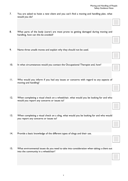7. You are asked to hoist a new client and you can't find a moving and handling plan, what would you do?

| 8.      | What parts of the body (carer) are most prone to getting damaged during moving and<br>handling, how can this be avoided?             |  |
|---------|--------------------------------------------------------------------------------------------------------------------------------------|--|
|         |                                                                                                                                      |  |
| 9.      | Name three unsafe moves and explain why they should not be used.                                                                     |  |
|         |                                                                                                                                      |  |
| 10.     | In what circumstances would you contact the Occupational Therapist and, how?                                                         |  |
|         |                                                                                                                                      |  |
| $\Pi$ . | Who would you inform if you had any issues or concerns with regard to any aspects of<br>moving and handling?                         |  |
|         |                                                                                                                                      |  |
| 12.     | When completing a visual check on a wheelchair, what would you be looking for and who<br>would you report any concerns or issues to? |  |
|         |                                                                                                                                      |  |
| 13.     | When completing a visual check on a sling, what would you be looking for and who would                                               |  |
|         | you report any concerns or issues to?                                                                                                |  |
|         |                                                                                                                                      |  |
| 14.     | Provide a basic knowledge of the different types of slings and their use.                                                            |  |
|         |                                                                                                                                      |  |
| 15.     | What environmental issues do you need to take into consideration when taking a client out<br>into the community in a wheelchair?     |  |
|         |                                                                                                                                      |  |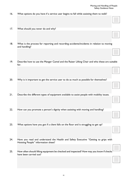- 16. What options do you have if a service user begins to fall while assisting them to walk?
- 17. What should you never do and why?
- 18. What is the process for reporting and recording accidents/incidents in relation to moving and handling?
- 19. Describe how to use the Manger Camel and the Raizer Lifting Chair and who these are suitable for.
- 20. Why is it important to get the service user to do as much as possible for themselves?
- 21. Describe the different types of equipment available to assist people with mobility issues.
- 22. How can you promote a person's dignity when assisting with moving and handling?
- 23. What options have you got if a client falls on the floor and is struggling to get up?
- 24. Have you read and understand the Health and Safety Executive "Getting to grips with Hoisting People" information sheet?
- 25. How often should lifting equipment be checked and inspected? How may you know if checks have been carried out?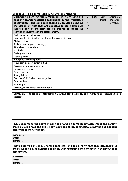| Section 2 - To be completed by Champion / Manager         |                           |      |                |           |
|-----------------------------------------------------------|---------------------------|------|----------------|-----------|
| Delegate to demonstrate a minimum of five moving and      | C                         | Date | <b>Staff</b>   | Champion/ |
| handling transfers/assisted techniques during workplace   |                           |      | <b>Initial</b> | Manager   |
| observation. The candidate should be assessed using all   | $\checkmark$              |      |                | Signature |
| the equipment that they are expected to use. (Please note | Or                        |      |                |           |
| that this part of the form can be changed to reflect the  | $\boldsymbol{\mathsf{x}}$ |      |                |           |
| techniques/equipment in the establishment.)               |                           |      |                |           |
| Pushing/ pulling wheelchair                               |                           |      |                |           |
| Transfers (sit to stand-forward step, backward step etc)  |                           |      |                |           |
| Ability testing                                           |                           |      |                |           |
| Assisted walking (various ways)                           |                           |      |                |           |
| Slide sheets/roller sheets                                |                           |      |                |           |
| <b>Mobile hoist</b>                                       |                           |      |                |           |
| Ceiling track hoist                                       |                           |      |                |           |
| Standing hoist                                            |                           |      |                |           |
| <b>Emergency lowering hoist</b>                           |                           |      |                |           |
| Move service user up/down bed                             |                           |      |                |           |
| Positioning and securing sling                            |                           |      |                |           |
| Turning service user                                      |                           |      |                |           |
| Patient turner                                            |                           |      |                |           |
| <b>Steady Eddie</b>                                       |                           |      |                |           |
| Bath hoist/ lift / adjustable height bath                 |                           |      |                |           |
| <b>Transfer board</b>                                     |                           |      |                |           |
| Handling belt                                             |                           |      |                |           |
| Assisting service user from the floor                     |                           |      |                |           |

Summary / additional information / areas for development. (Continue on separate sheet if necessary)

#### I have undergone the above moving and handling competency assessment and confirm that I believe I have the skills, knowledge and ability to undertake moving and handling tasks within the workplace.

Candidate: Date: Signature:

I have observed the above named candidate and can confirm that they demonstrated the relevant skills, knowledge and ability with regards to the competency and knowledge assessment.

| Assessor:  |  |
|------------|--|
| Date:      |  |
| Signature: |  |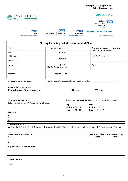Moving and Handling of People Safety Guidance Note

## APPENDIX 2

Hull and **NHS**<br>East Yorkshire Hospitals



 $\Gamma$ 







**City Health Care Partnership CIC** 

a co-owned business

┑

| Moving Handling Risk Assessment and Plan |                           |                                            |                                                  |                                  |  |
|------------------------------------------|---------------------------|--------------------------------------------|--------------------------------------------------|----------------------------------|--|
| Date:                                    |                           | Reassessment due:                          |                                                  | Consent to engage in assessment: |  |
| AIS:                                     |                           | Assessor:                                  |                                                  | Yes / No / Best Interest         |  |
| NHS No:                                  |                           |                                            |                                                  | Client / Rep signature:          |  |
| Name:                                    |                           | Signature:                                 |                                                  |                                  |  |
| DOB:                                     |                           | Job title:<br><b>HCPC</b> Registration no: |                                                  | Date:                            |  |
| Address:                                 |                           | Demonstrated to:                           |                                                  |                                  |  |
|                                          | Environmental assessment: |                                            | Home / School / Residential / Day Centre / Other |                                  |  |

| <b>Reason for assessment</b>                       |         |                                                             |
|----------------------------------------------------|---------|-------------------------------------------------------------|
| Medical history / Social situation                 | Height: | Weight:                                                     |
|                                                    |         |                                                             |
|                                                    |         |                                                             |
| Weight bearing ability                             |         | Ability to use each limb (F - Full, P - Partial, N - None): |
| Fully / Partially / None / Variable weight bearing | Right   | Left                                                        |
|                                                    |         | $\overline{RUL} - F/P/N$ $\overline{LUL} - F/P/N$           |
|                                                    |         | RLL – $F/P/N$ LLL – $F/P/N$                                 |
| Please list:                                       |         |                                                             |
| a.                                                 |         |                                                             |
| b.                                                 |         |                                                             |
| c.                                                 |         |                                                             |
|                                                    |         |                                                             |
| <b>Considered risks:</b>                           |         |                                                             |

Weight | Body Shape | Fear | Behaviour | Cognitive | Pain | Skin/others | History of falls | Environment | Communication | Sensory

| <b>Risks identified Please list:</b> |              | Date and Risk score (see matrix): |
|--------------------------------------|--------------|-----------------------------------|
| a.                                   | <b>Prior</b> | Post                              |
| D.                                   |              |                                   |
| J.                                   |              |                                   |
|                                      |              |                                   |

Agreed Recommendations:

#### Client's name:

Date: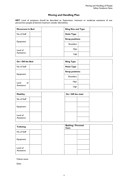# Moving and Handling Plan

KEY: Level of assistance should be described as: Supervision, minimum or moderate assistance of one person/two people (if deemed maximum consider alternatives)

| <b>Movement in Bed</b> | <b>Sling Size and Type</b> |
|------------------------|----------------------------|
| No of Staff            | <b>Hoist Type</b>          |
|                        | <b>Strap positions</b>     |
| Equipment              | <b>Shoulders</b>           |
| Level of               | <b>Hips</b>                |
| Assistance             | Legs                       |

| On / Off the Bed | <b>Sling Type</b>      |
|------------------|------------------------|
| No of Staff      | <b>Hoist Type</b>      |
| Equipment        | <b>Strap positions</b> |
|                  | Shoulders              |
| of<br>Level      | <b>Hips</b>            |
| Assistance       | Legs                   |

| <b>Mobility</b>        | On / Off the chair |  |
|------------------------|--------------------|--|
| No of Staff            |                    |  |
| Equipment              |                    |  |
| Level of<br>Assistance |                    |  |

| <b>Toileting</b> | <b>Bathing / Personal</b><br>Care |  |
|------------------|-----------------------------------|--|
| No of Staff      |                                   |  |
| Equipment        |                                   |  |
|                  |                                   |  |
| Level of         |                                   |  |
| Assistance       |                                   |  |

Clients name:

Date: